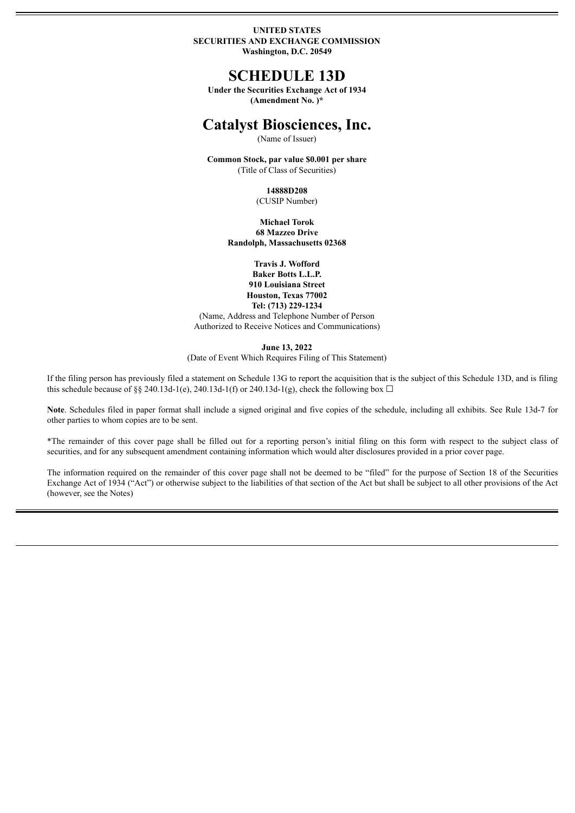#### **UNITED STATES SECURITIES AND EXCHANGE COMMISSION Washington, D.C. 20549**

## **SCHEDULE 13D**

**Under the Securities Exchange Act of 1934 (Amendment No. )\***

# **Catalyst Biosciences, Inc.**

(Name of Issuer)

**Common Stock, par value \$0.001 per share** (Title of Class of Securities)

> **14888D208** (CUSIP Number)

**Michael Torok 68 Mazzeo Drive**

**Randolph, Massachusetts 02368**

**Travis J. Wofford Baker Botts L.L.P. 910 Louisiana Street Houston, Texas 77002 Tel: (713) 229-1234**

(Name, Address and Telephone Number of Person Authorized to Receive Notices and Communications)

**June 13, 2022**

(Date of Event Which Requires Filing of This Statement)

If the filing person has previously filed a statement on Schedule 13G to report the acquisition that is the subject of this Schedule 13D, and is filing this schedule because of §§ 240.13d-1(e), 240.13d-1(f) or 240.13d-1(g), check the following box  $\Box$ 

**Note**. Schedules filed in paper format shall include a signed original and five copies of the schedule, including all exhibits. See Rule 13d-7 for other parties to whom copies are to be sent.

\*The remainder of this cover page shall be filled out for a reporting person's initial filing on this form with respect to the subject class of securities, and for any subsequent amendment containing information which would alter disclosures provided in a prior cover page.

The information required on the remainder of this cover page shall not be deemed to be "filed" for the purpose of Section 18 of the Securities Exchange Act of 1934 ("Act") or otherwise subject to the liabilities of that section of the Act but shall be subject to all other provisions of the Act (however, see the Notes)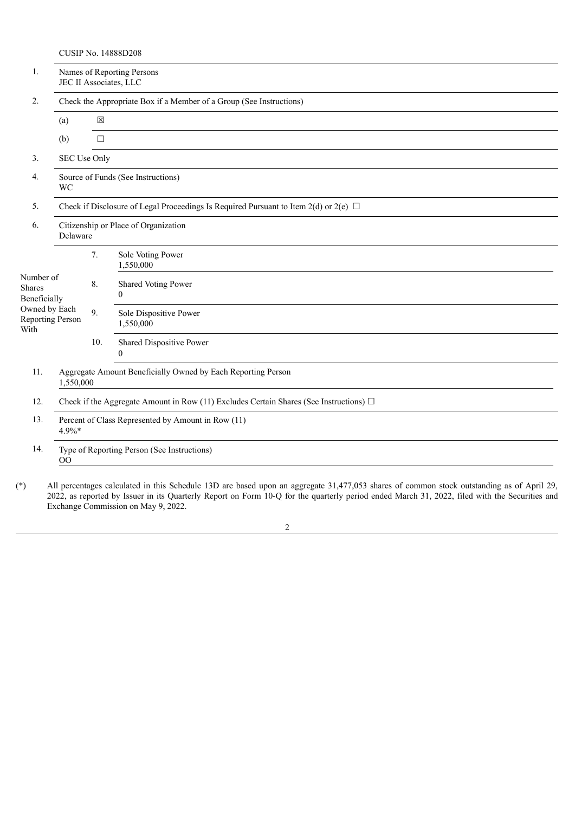CUSIP No. 14888D208

| 1.                                               | Names of Reporting Persons<br>JEC II Associates, LLC                                        |             |                                      |  |  |  |  |
|--------------------------------------------------|---------------------------------------------------------------------------------------------|-------------|--------------------------------------|--|--|--|--|
| 2.                                               | Check the Appropriate Box if a Member of a Group (See Instructions)                         |             |                                      |  |  |  |  |
|                                                  | (a)                                                                                         | $\boxtimes$ |                                      |  |  |  |  |
|                                                  | (b)                                                                                         | $\Box$      |                                      |  |  |  |  |
| 3 <sub>1</sub>                                   | SEC Use Only                                                                                |             |                                      |  |  |  |  |
| 4.                                               | Source of Funds (See Instructions)<br><b>WC</b>                                             |             |                                      |  |  |  |  |
| 5.                                               | Check if Disclosure of Legal Proceedings Is Required Pursuant to Item 2(d) or 2(e) $\Box$   |             |                                      |  |  |  |  |
| 6.                                               | Citizenship or Place of Organization<br>Delaware                                            |             |                                      |  |  |  |  |
|                                                  |                                                                                             | 7.          | Sole Voting Power<br>1,550,000       |  |  |  |  |
| Number of<br>Shares<br>Beneficially              |                                                                                             | 8.          | Shared Voting Power<br>$\Omega$      |  |  |  |  |
| Owned by Each<br><b>Reporting Person</b><br>With |                                                                                             | 9.          | Sole Dispositive Power<br>1,550,000  |  |  |  |  |
|                                                  |                                                                                             | 10.         | Shared Dispositive Power<br>$\Omega$ |  |  |  |  |
| 11.                                              | Aggregate Amount Beneficially Owned by Each Reporting Person<br>1,550,000                   |             |                                      |  |  |  |  |
| 12.                                              | Check if the Aggregate Amount in Row (11) Excludes Certain Shares (See Instructions) $\Box$ |             |                                      |  |  |  |  |
| 13.                                              | Percent of Class Represented by Amount in Row (11)<br>$4.9\%*$                              |             |                                      |  |  |  |  |
| 14.                                              | Type of Reporting Person (See Instructions)<br>OO                                           |             |                                      |  |  |  |  |
|                                                  |                                                                                             |             |                                      |  |  |  |  |

(\*) All percentages calculated in this Schedule 13D are based upon an aggregate 31,477,053 shares of common stock outstanding as of April 29, 2022, as reported by Issuer in its Quarterly Report on Form 10-Q for the quarterly period ended March 31, 2022, filed with the Securities and Exchange Commission on May 9, 2022.

## 2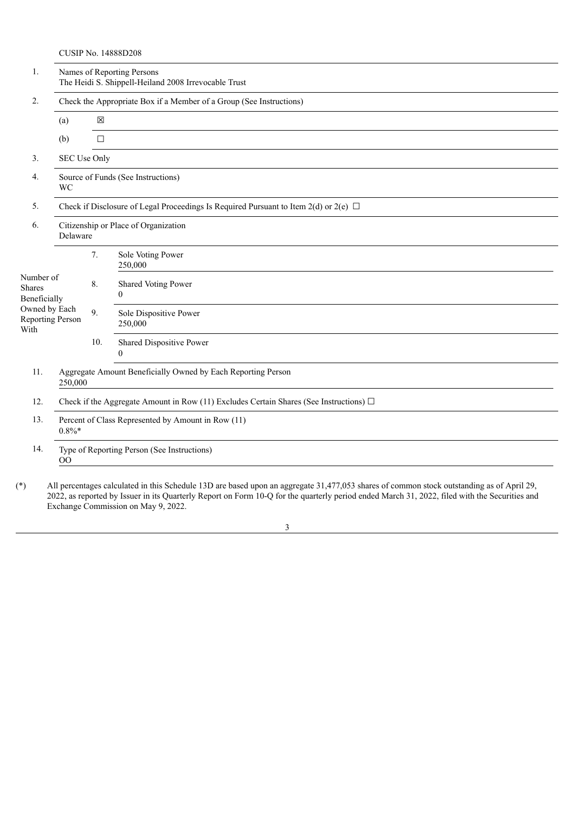CUSIP No. 14888D208

| 1.                                        | Names of Reporting Persons<br>The Heidi S. Shippell-Heiland 2008 Irrevocable Trust          |              |                                      |  |  |  |  |  |
|-------------------------------------------|---------------------------------------------------------------------------------------------|--------------|--------------------------------------|--|--|--|--|--|
| 2.                                        | Check the Appropriate Box if a Member of a Group (See Instructions)                         |              |                                      |  |  |  |  |  |
|                                           | (a)                                                                                         | $\boxtimes$  |                                      |  |  |  |  |  |
|                                           | (b)                                                                                         | $\Box$       |                                      |  |  |  |  |  |
| 3.                                        |                                                                                             | SEC Use Only |                                      |  |  |  |  |  |
| 4.                                        | Source of Funds (See Instructions)<br><b>WC</b>                                             |              |                                      |  |  |  |  |  |
| 5.                                        | Check if Disclosure of Legal Proceedings Is Required Pursuant to Item 2(d) or 2(e) $\Box$   |              |                                      |  |  |  |  |  |
| 6.                                        | Citizenship or Place of Organization<br>Delaware                                            |              |                                      |  |  |  |  |  |
|                                           |                                                                                             | 7.           | Sole Voting Power<br>250,000         |  |  |  |  |  |
| Number of<br>Shares<br>Beneficially       |                                                                                             | 8.           | Shared Voting Power<br>$\Omega$      |  |  |  |  |  |
| Owned by Each<br>Reporting Person<br>With |                                                                                             | 9.           | Sole Dispositive Power<br>250,000    |  |  |  |  |  |
|                                           |                                                                                             | 10.          | Shared Dispositive Power<br>$\Omega$ |  |  |  |  |  |
| 11.                                       | Aggregate Amount Beneficially Owned by Each Reporting Person<br>250,000                     |              |                                      |  |  |  |  |  |
| 12.                                       | Check if the Aggregate Amount in Row (11) Excludes Certain Shares (See Instructions) $\Box$ |              |                                      |  |  |  |  |  |
| 13.                                       | Percent of Class Represented by Amount in Row (11)<br>$0.8\%*$                              |              |                                      |  |  |  |  |  |
| 14.                                       | Type of Reporting Person (See Instructions)<br>00                                           |              |                                      |  |  |  |  |  |

(\*) All percentages calculated in this Schedule 13D are based upon an aggregate 31,477,053 shares of common stock outstanding as of April 29, 2022, as reported by Issuer in its Quarterly Report on Form 10-Q for the quarterly period ended March 31, 2022, filed with the Securities and Exchange Commission on May 9, 2022.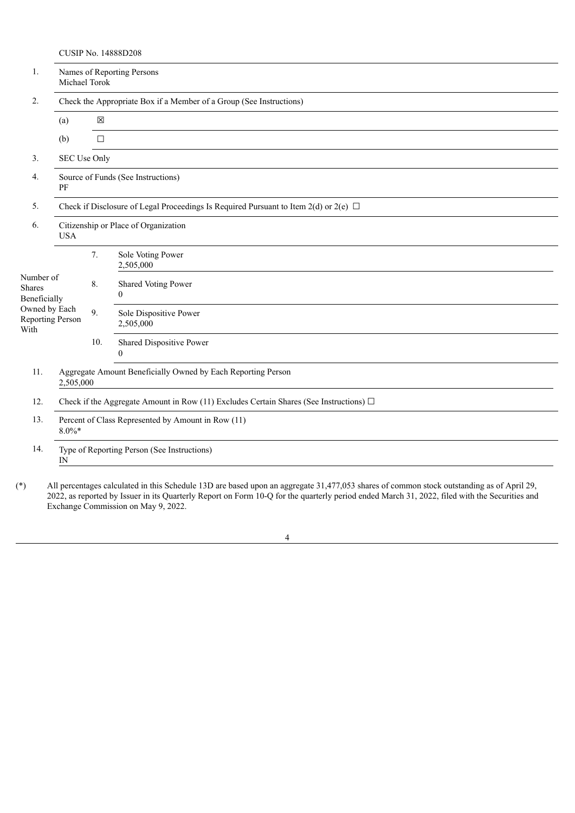CUSIP No. 14888D208

| 1.                                        | Names of Reporting Persons<br>Michael Torok                                                 |              |                                      |  |  |  |  |  |
|-------------------------------------------|---------------------------------------------------------------------------------------------|--------------|--------------------------------------|--|--|--|--|--|
| 2.                                        | Check the Appropriate Box if a Member of a Group (See Instructions)                         |              |                                      |  |  |  |  |  |
|                                           | (a)                                                                                         | $\boxtimes$  |                                      |  |  |  |  |  |
|                                           | (b)                                                                                         | $\Box$       |                                      |  |  |  |  |  |
| 3.                                        |                                                                                             | SEC Use Only |                                      |  |  |  |  |  |
| 4.                                        | Source of Funds (See Instructions)<br>PF                                                    |              |                                      |  |  |  |  |  |
| 5.                                        | Check if Disclosure of Legal Proceedings Is Required Pursuant to Item 2(d) or 2(e) $\Box$   |              |                                      |  |  |  |  |  |
| 6.                                        | <b>USA</b>                                                                                  |              | Citizenship or Place of Organization |  |  |  |  |  |
|                                           |                                                                                             | 7.           | Sole Voting Power<br>2,505,000       |  |  |  |  |  |
| Number of<br>Shares<br>Beneficially       |                                                                                             | 8.           | Shared Voting Power<br>$\Omega$      |  |  |  |  |  |
| Owned by Each<br>Reporting Person<br>With |                                                                                             | 9.           | Sole Dispositive Power<br>2,505,000  |  |  |  |  |  |
|                                           |                                                                                             | 10.          | Shared Dispositive Power<br>$\theta$ |  |  |  |  |  |
| 11.                                       | Aggregate Amount Beneficially Owned by Each Reporting Person<br>2,505,000                   |              |                                      |  |  |  |  |  |
| 12.                                       | Check if the Aggregate Amount in Row (11) Excludes Certain Shares (See Instructions) $\Box$ |              |                                      |  |  |  |  |  |
| 13.                                       | Percent of Class Represented by Amount in Row (11)<br>$8.0\%$ *                             |              |                                      |  |  |  |  |  |
| 14.                                       | Type of Reporting Person (See Instructions)<br>$_{\rm IN}$                                  |              |                                      |  |  |  |  |  |

(\*) All percentages calculated in this Schedule 13D are based upon an aggregate 31,477,053 shares of common stock outstanding as of April 29, 2022, as reported by Issuer in its Quarterly Report on Form 10-Q for the quarterly period ended March 31, 2022, filed with the Securities and Exchange Commission on May 9, 2022.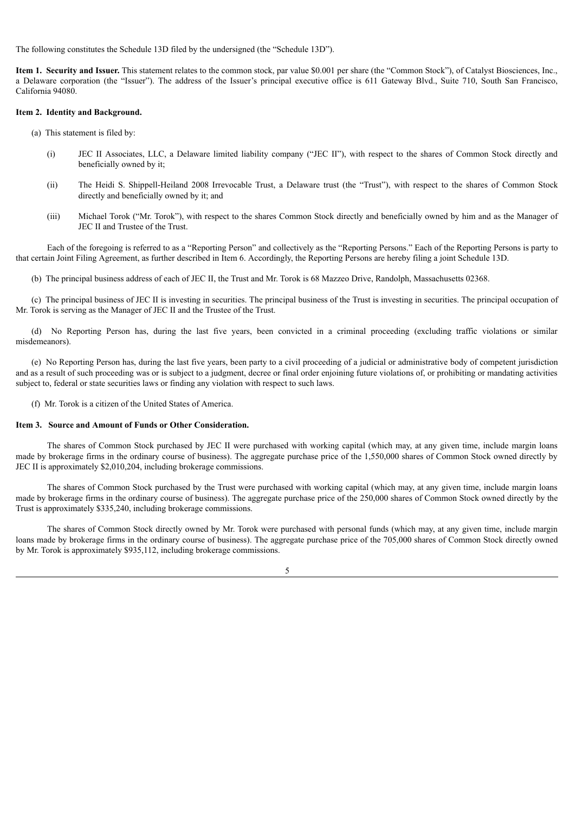The following constitutes the Schedule 13D filed by the undersigned (the "Schedule 13D").

**Item 1. Security and Issuer.** This statement relates to the common stock, par value \$0.001 per share (the "Common Stock"), of Catalyst Biosciences, Inc., a Delaware corporation (the "Issuer"). The address of the Issuer's principal executive office is 611 Gateway Blvd., Suite 710, South San Francisco, California 94080.

#### **Item 2. Identity and Background.**

- (a) This statement is filed by:
	- (i) JEC II Associates, LLC, a Delaware limited liability company ("JEC II"), with respect to the shares of Common Stock directly and beneficially owned by it;
	- (ii) The Heidi S. Shippell-Heiland 2008 Irrevocable Trust, a Delaware trust (the "Trust"), with respect to the shares of Common Stock directly and beneficially owned by it; and
	- (iii) Michael Torok ("Mr. Torok"), with respect to the shares Common Stock directly and beneficially owned by him and as the Manager of JEC II and Trustee of the Trust.

Each of the foregoing is referred to as a "Reporting Person" and collectively as the "Reporting Persons." Each of the Reporting Persons is party to that certain Joint Filing Agreement, as further described in Item 6. Accordingly, the Reporting Persons are hereby filing a joint Schedule 13D.

(b) The principal business address of each of JEC II, the Trust and Mr. Torok is 68 Mazzeo Drive, Randolph, Massachusetts 02368.

(c) The principal business of JEC II is investing in securities. The principal business of the Trust is investing in securities. The principal occupation of Mr. Torok is serving as the Manager of JEC II and the Trustee of the Trust.

(d) No Reporting Person has, during the last five years, been convicted in a criminal proceeding (excluding traffic violations or similar misdemeanors).

(e) No Reporting Person has, during the last five years, been party to a civil proceeding of a judicial or administrative body of competent jurisdiction and as a result of such proceeding was or is subject to a judgment, decree or final order enjoining future violations of, or prohibiting or mandating activities subject to, federal or state securities laws or finding any violation with respect to such laws.

(f) Mr. Torok is a citizen of the United States of America.

#### **Item 3. Source and Amount of Funds or Other Consideration.**

The shares of Common Stock purchased by JEC II were purchased with working capital (which may, at any given time, include margin loans made by brokerage firms in the ordinary course of business). The aggregate purchase price of the 1,550,000 shares of Common Stock owned directly by JEC II is approximately \$2,010,204, including brokerage commissions.

The shares of Common Stock purchased by the Trust were purchased with working capital (which may, at any given time, include margin loans made by brokerage firms in the ordinary course of business). The aggregate purchase price of the 250,000 shares of Common Stock owned directly by the Trust is approximately \$335,240, including brokerage commissions.

The shares of Common Stock directly owned by Mr. Torok were purchased with personal funds (which may, at any given time, include margin loans made by brokerage firms in the ordinary course of business). The aggregate purchase price of the 705,000 shares of Common Stock directly owned by Mr. Torok is approximately \$935,112, including brokerage commissions.

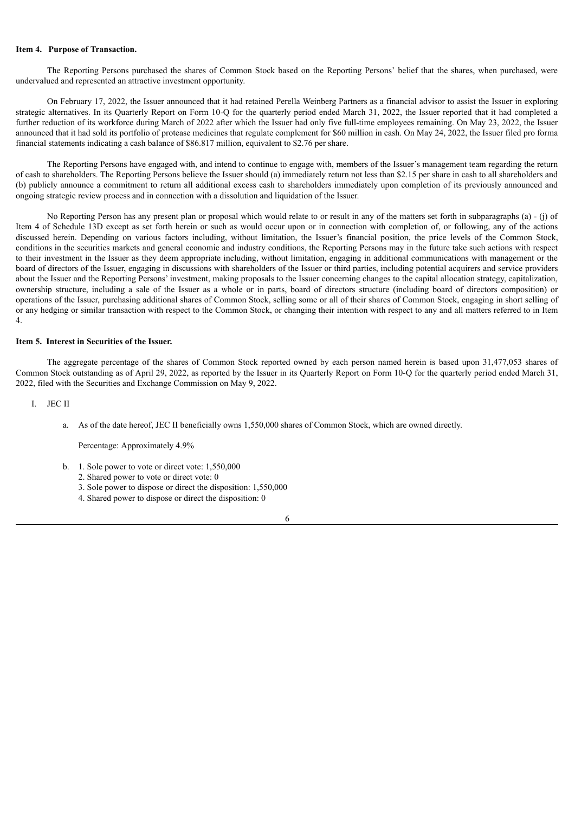#### **Item 4. Purpose of Transaction.**

The Reporting Persons purchased the shares of Common Stock based on the Reporting Persons' belief that the shares, when purchased, were undervalued and represented an attractive investment opportunity.

On February 17, 2022, the Issuer announced that it had retained Perella Weinberg Partners as a financial advisor to assist the Issuer in exploring strategic alternatives. In its Quarterly Report on Form 10-Q for the quarterly period ended March 31, 2022, the Issuer reported that it had completed a further reduction of its workforce during March of 2022 after which the Issuer had only five full-time employees remaining. On May 23, 2022, the Issuer announced that it had sold its portfolio of protease medicines that regulate complement for \$60 million in cash. On May 24, 2022, the Issuer filed pro forma financial statements indicating a cash balance of \$86.817 million, equivalent to \$2.76 per share.

The Reporting Persons have engaged with, and intend to continue to engage with, members of the Issuer's management team regarding the return of cash to shareholders. The Reporting Persons believe the Issuer should (a) immediately return not less than \$2.15 per share in cash to all shareholders and (b) publicly announce a commitment to return all additional excess cash to shareholders immediately upon completion of its previously announced and ongoing strategic review process and in connection with a dissolution and liquidation of the Issuer.

No Reporting Person has any present plan or proposal which would relate to or result in any of the matters set forth in subparagraphs (a) - (j) of Item 4 of Schedule 13D except as set forth herein or such as would occur upon or in connection with completion of, or following, any of the actions discussed herein. Depending on various factors including, without limitation, the Issuer's financial position, the price levels of the Common Stock, conditions in the securities markets and general economic and industry conditions, the Reporting Persons may in the future take such actions with respect to their investment in the Issuer as they deem appropriate including, without limitation, engaging in additional communications with management or the board of directors of the Issuer, engaging in discussions with shareholders of the Issuer or third parties, including potential acquirers and service providers about the Issuer and the Reporting Persons' investment, making proposals to the Issuer concerning changes to the capital allocation strategy, capitalization, ownership structure, including a sale of the Issuer as a whole or in parts, board of directors structure (including board of directors composition) or operations of the Issuer, purchasing additional shares of Common Stock, selling some or all of their shares of Common Stock, engaging in short selling of or any hedging or similar transaction with respect to the Common Stock, or changing their intention with respect to any and all matters referred to in Item 4.

#### **Item 5. Interest in Securities of the Issuer.**

The aggregate percentage of the shares of Common Stock reported owned by each person named herein is based upon 31,477,053 shares of Common Stock outstanding as of April 29, 2022, as reported by the Issuer in its Quarterly Report on Form 10-Q for the quarterly period ended March 31, 2022, filed with the Securities and Exchange Commission on May 9, 2022.

I. JEC II

a. As of the date hereof, JEC II beneficially owns 1,550,000 shares of Common Stock, which are owned directly.

Percentage: Approximately 4.9%

- b. 1. Sole power to vote or direct vote: 1,550,000
	- 2. Shared power to vote or direct vote: 0
		- 3. Sole power to dispose or direct the disposition: 1,550,000
		- 4. Shared power to dispose or direct the disposition: 0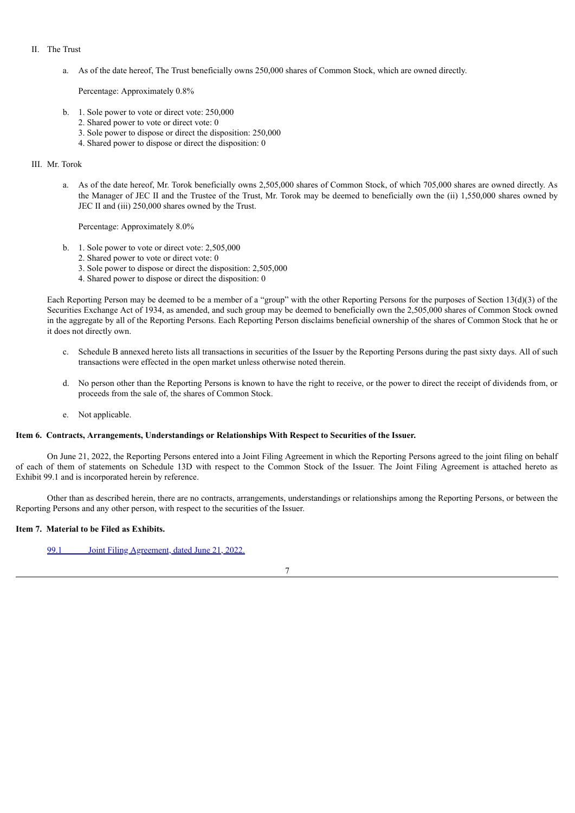- II. The Trust
	- a. As of the date hereof, The Trust beneficially owns 250,000 shares of Common Stock, which are owned directly.

Percentage: Approximately 0.8%

- b. 1. Sole power to vote or direct vote: 250,000
	- 2. Shared power to vote or direct vote: 0
	- 3. Sole power to dispose or direct the disposition: 250,000
	- 4. Shared power to dispose or direct the disposition: 0

#### III. Mr. Torok

a. As of the date hereof, Mr. Torok beneficially owns 2,505,000 shares of Common Stock, of which 705,000 shares are owned directly. As the Manager of JEC II and the Trustee of the Trust, Mr. Torok may be deemed to beneficially own the (ii) 1,550,000 shares owned by JEC II and (iii) 250,000 shares owned by the Trust.

Percentage: Approximately 8.0%

- b. 1. Sole power to vote or direct vote: 2,505,000
	- 2. Shared power to vote or direct vote: 0
	- 3. Sole power to dispose or direct the disposition: 2,505,000
	- 4. Shared power to dispose or direct the disposition: 0

Each Reporting Person may be deemed to be a member of a "group" with the other Reporting Persons for the purposes of Section 13(d)(3) of the Securities Exchange Act of 1934, as amended, and such group may be deemed to beneficially own the 2,505,000 shares of Common Stock owned in the aggregate by all of the Reporting Persons. Each Reporting Person disclaims beneficial ownership of the shares of Common Stock that he or it does not directly own.

- c. Schedule B annexed hereto lists all transactions in securities of the Issuer by the Reporting Persons during the past sixty days. All of such transactions were effected in the open market unless otherwise noted therein.
- d. No person other than the Reporting Persons is known to have the right to receive, or the power to direct the receipt of dividends from, or proceeds from the sale of, the shares of Common Stock.
- e. Not applicable.

#### **Item 6. Contracts, Arrangements, Understandings or Relationships With Respect to Securities of the Issuer.**

On June 21, 2022, the Reporting Persons entered into a Joint Filing Agreement in which the Reporting Persons agreed to the joint filing on behalf of each of them of statements on Schedule 13D with respect to the Common Stock of the Issuer. The Joint Filing Agreement is attached hereto as Exhibit 99.1 and is incorporated herein by reference.

Other than as described herein, there are no contracts, arrangements, understandings or relationships among the Reporting Persons, or between the Reporting Persons and any other person, with respect to the securities of the Issuer.

#### **Item 7. Material to be Filed as Exhibits.**

99.1 Joint Filing [Agreement,](#page-9-0) dated June 21, 2022.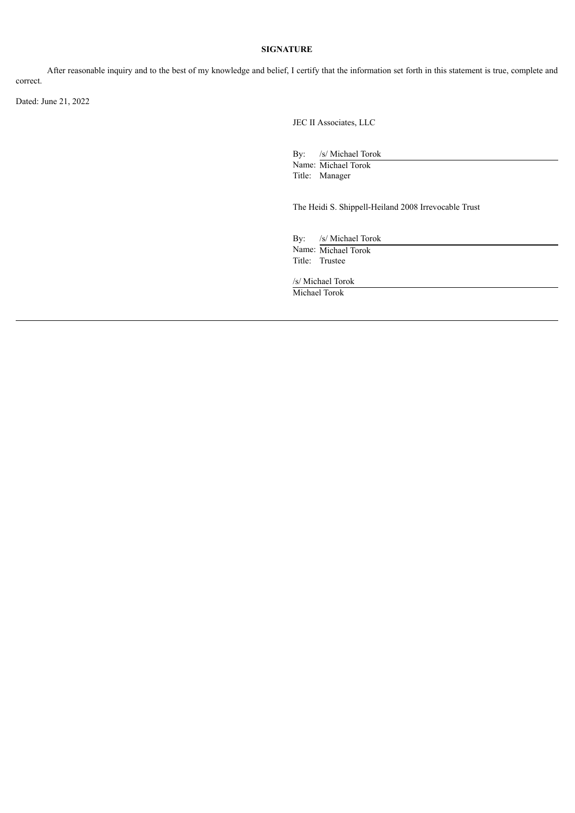#### **SIGNATURE**

After reasonable inquiry and to the best of my knowledge and belief, I certify that the information set forth in this statement is true, complete and correct.

Dated: June 21, 2022

JEC II Associates, LLC

By: /s/ Michael Torok

Name: Michael Torok Title: Manager

The Heidi S. Shippell-Heiland 2008 Irrevocable Trust

By: /s/ Michael Torok

Name: Michael Torok Title: Trustee

/s/ Michael Torok Michael Torok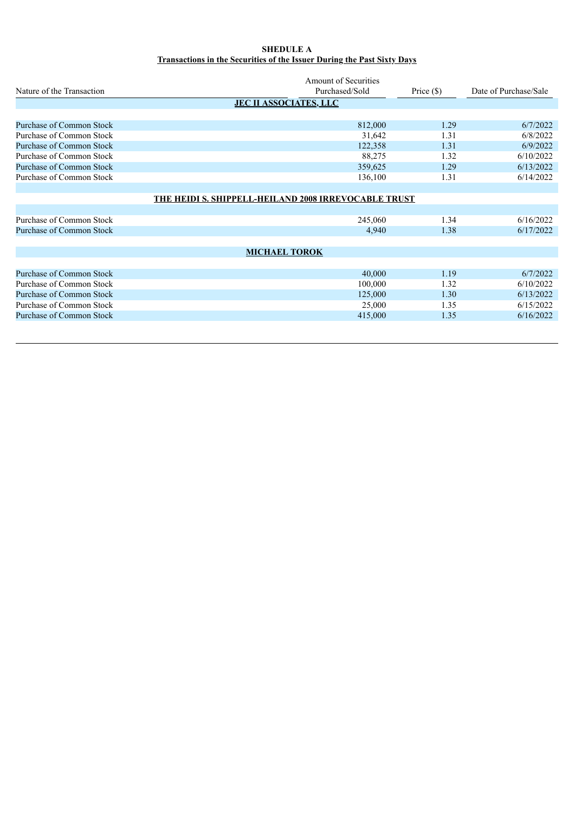### **SHEDULE A Transactions in the Securities of the Issuer During the Past Sixty Days**

|                                 | <b>Amount of Securities</b>                          |              |                       |  |  |  |  |  |  |
|---------------------------------|------------------------------------------------------|--------------|-----------------------|--|--|--|--|--|--|
| Nature of the Transaction       | Purchased/Sold                                       | Price $(\$)$ | Date of Purchase/Sale |  |  |  |  |  |  |
| <b>JEC II ASSOCIATES, LLC</b>   |                                                      |              |                       |  |  |  |  |  |  |
|                                 |                                                      |              |                       |  |  |  |  |  |  |
| Purchase of Common Stock        | 812,000                                              | 1.29         | 6/7/2022              |  |  |  |  |  |  |
| Purchase of Common Stock        | 31,642                                               | 1.31         | 6/8/2022              |  |  |  |  |  |  |
| <b>Purchase of Common Stock</b> | 122,358                                              | 1.31         | 6/9/2022              |  |  |  |  |  |  |
| Purchase of Common Stock        | 88,275                                               | 1.32         | 6/10/2022             |  |  |  |  |  |  |
| Purchase of Common Stock        | 359,625                                              | 1.29         | 6/13/2022             |  |  |  |  |  |  |
| Purchase of Common Stock        | 136,100                                              | 1.31         | 6/14/2022             |  |  |  |  |  |  |
|                                 |                                                      |              |                       |  |  |  |  |  |  |
|                                 | THE HEIDI S. SHIPPELL-HEILAND 2008 IRREVOCABLE TRUST |              |                       |  |  |  |  |  |  |
|                                 |                                                      |              |                       |  |  |  |  |  |  |
| Purchase of Common Stock        | 245,060                                              | 1.34         | 6/16/2022             |  |  |  |  |  |  |
| Purchase of Common Stock        | 4,940                                                | 1.38         | 6/17/2022             |  |  |  |  |  |  |
|                                 |                                                      |              |                       |  |  |  |  |  |  |
|                                 | <b>MICHAEL TOROK</b>                                 |              |                       |  |  |  |  |  |  |
|                                 |                                                      |              |                       |  |  |  |  |  |  |
| <b>Purchase of Common Stock</b> | 40,000                                               | 1.19         | 6/7/2022              |  |  |  |  |  |  |
| Purchase of Common Stock        | 100,000                                              | 1.32         | 6/10/2022             |  |  |  |  |  |  |
| Purchase of Common Stock        | 125,000                                              | 1.30         | 6/13/2022             |  |  |  |  |  |  |
| Purchase of Common Stock        | 25,000                                               | 1.35         | 6/15/2022             |  |  |  |  |  |  |
| Purchase of Common Stock        | 415,000                                              | 1.35         | 6/16/2022             |  |  |  |  |  |  |
|                                 |                                                      |              |                       |  |  |  |  |  |  |